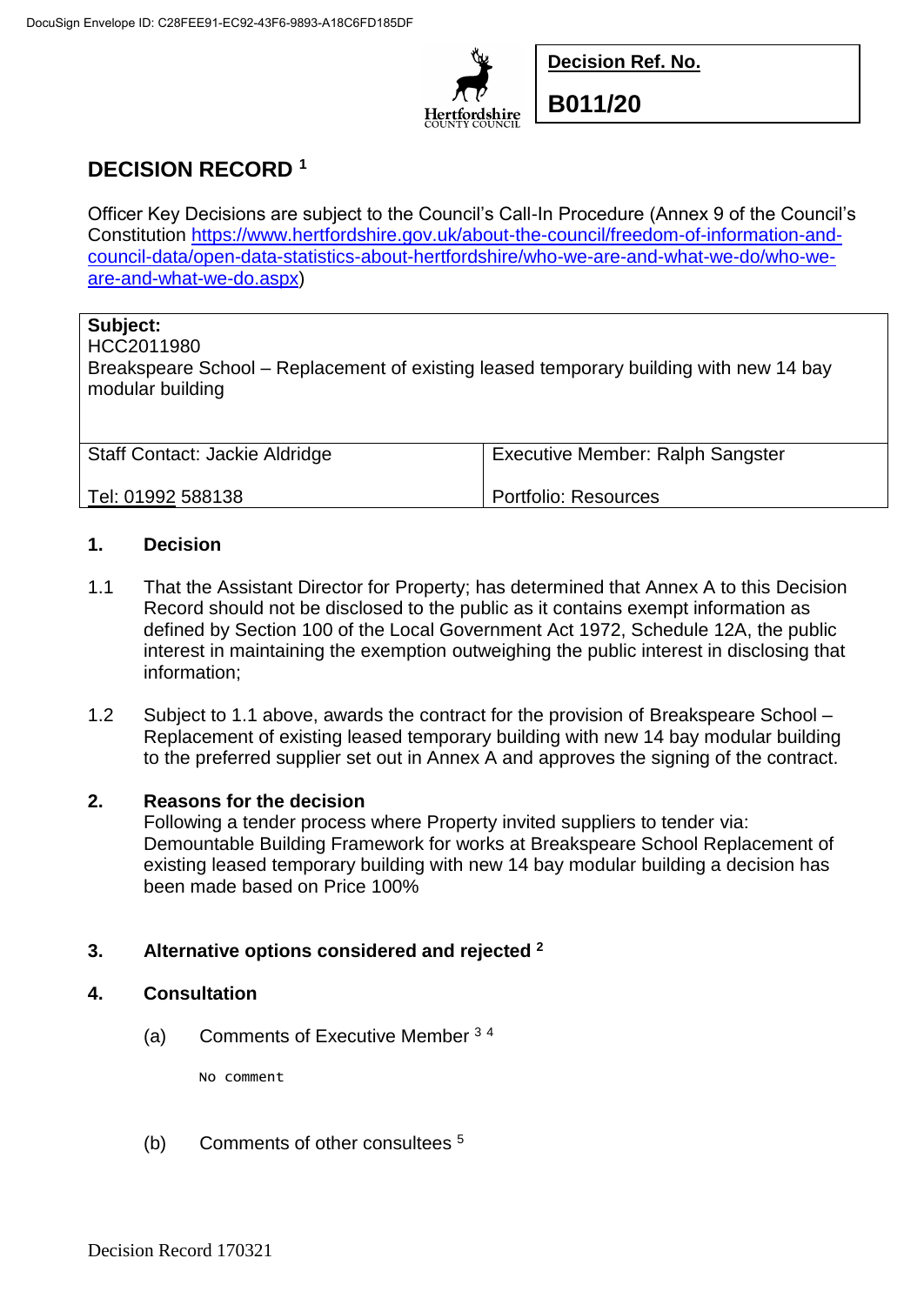

**Decision Ref. No.**

**B011/20**

# **DECISION RECORD <sup>1</sup>**

Officer Key Decisions are subject to the Council's Call-In Procedure (Annex 9 of the Council's Constitution [https://www.hertfordshire.gov.uk/about-the-council/freedom-of-information-and](https://www.hertfordshire.gov.uk/about-the-council/freedom-of-information-and-council-data/open-data-statistics-about-hertfordshire/who-we-are-and-what-we-do/who-we-are-and-what-we-do.aspx)[council-data/open-data-statistics-about-hertfordshire/who-we-are-and-what-we-do/who-we](https://www.hertfordshire.gov.uk/about-the-council/freedom-of-information-and-council-data/open-data-statistics-about-hertfordshire/who-we-are-and-what-we-do/who-we-are-and-what-we-do.aspx)[are-and-what-we-do.aspx\)](https://www.hertfordshire.gov.uk/about-the-council/freedom-of-information-and-council-data/open-data-statistics-about-hertfordshire/who-we-are-and-what-we-do/who-we-are-and-what-we-do.aspx)

## **Subject:**

HCC2011980

Breakspeare School – Replacement of existing leased temporary building with new 14 bay modular building

| <b>Staff Contact: Jackie Aldridge</b> | <b>Executive Member: Ralph Sangster</b> |
|---------------------------------------|-----------------------------------------|
| ' Tel: 01992 588138                   | Portfolio: Resources                    |

#### **1. Decision**

- 1.1 That the Assistant Director for Property; has determined that Annex A to this Decision Record should not be disclosed to the public as it contains exempt information as defined by Section 100 of the Local Government Act 1972, Schedule 12A, the public interest in maintaining the exemption outweighing the public interest in disclosing that information;
- 1.2 Subject to 1.1 above, awards the contract for the provision of Breakspeare School Replacement of existing leased temporary building with new 14 bay modular building to the preferred supplier set out in Annex A and approves the signing of the contract.

#### **2. Reasons for the decision**

Following a tender process where Property invited suppliers to tender via: Demountable Building Framework for works at Breakspeare School Replacement of existing leased temporary building with new 14 bay modular building a decision has been made based on Price 100%

## **3. Alternative options considered and rejected <sup>2</sup>**

#### **4. Consultation**

(a) Comments of Executive Member <sup>3</sup> <sup>4</sup>

No comment

(b) Comments of other consultees <sup>5</sup>